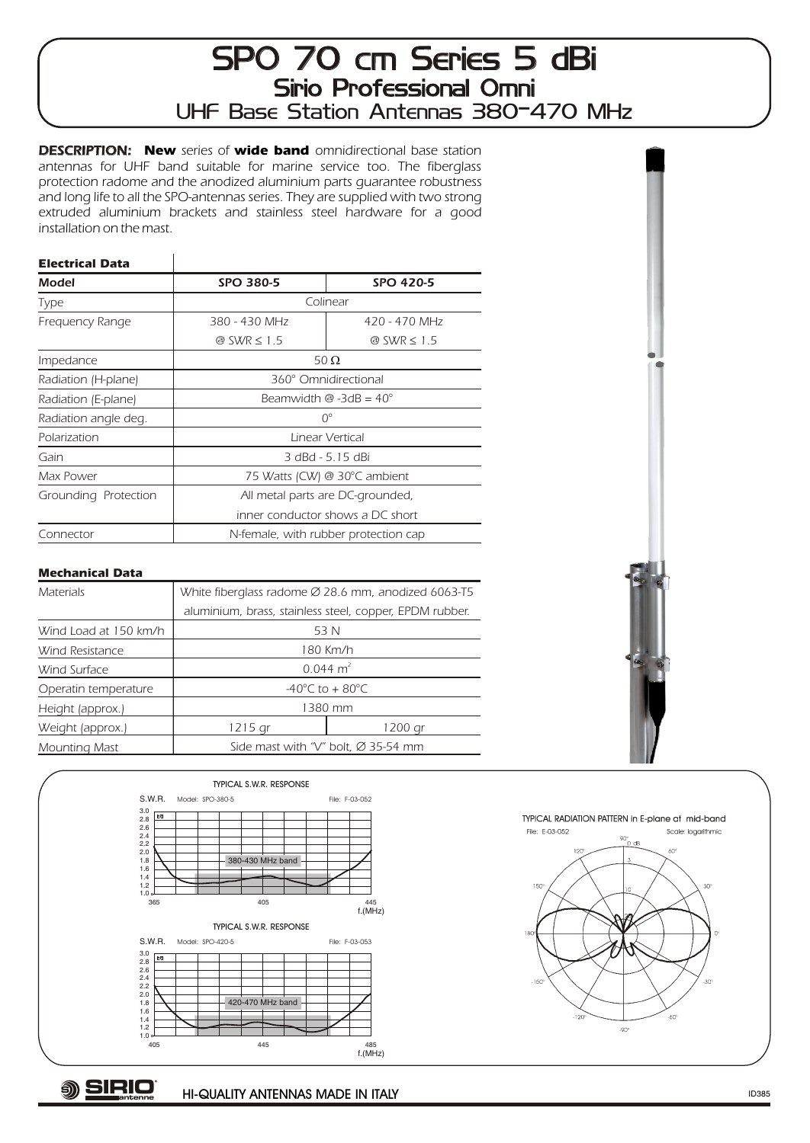## SPO 70 cm Series 5 dBi Sirio Professional Omni UHF Base Station Antennas 380-470 MHz

DESCRIPTION: **New** series of **wide band** omnidirectional base station antennas for UHF band suitable for marine service too. The fiberglass protection radome and the anodized aluminium parts guarantee robustness and long life to all the SPO-antennas series. They are supplied with two strong extruded aluminium brackets and stainless steel hardware for a good installation on the mast.

## **Electrical Data**

| Model                | <b>SPO 380-5</b>                                        | <b>SPO 420-5</b> |
|----------------------|---------------------------------------------------------|------------------|
| Type                 | Colinear                                                |                  |
| Frequency Range      | 380 - 430 MHz                                           | 420 - 470 MHz    |
|                      | @ SWR 1.5                                               | @ SWR 1.5        |
| Impedance            | 50                                                      |                  |
| Radiation (H-plane)  | 360° Omnidirectional                                    |                  |
| Radiation (E-plane)  | Beamwidth $\textcircled{a}$ -3dB = 40 $\textcircled{c}$ |                  |
| Radiation angle deg. | $O^{\circ}$                                             |                  |
| Polarization         | Linear Vertical                                         |                  |
| Gain                 | 3 dBd - 5.15 dBi                                        |                  |
| Max Power            | 75 Watts (CW) @ 30°C ambient                            |                  |
| Grounding Protection | All metal parts are DC-grounded,                        |                  |
|                      | inner conductor shows a DC short                        |                  |
| Connector            | N-female, with rubber protection cap                    |                  |

## **Mechanical Data**

| <b>Materials</b>      |                                                         | White fiberglass radome 28.6 mm, anodized 6063-T5 |
|-----------------------|---------------------------------------------------------|---------------------------------------------------|
|                       | aluminium, brass, stainless steel, copper, EPDM rubber. |                                                   |
| Wind Load at 150 km/h | 53 N                                                    |                                                   |
| Wind Resistance       | 180 Km/h                                                |                                                   |
| Wind Surface          | $0.044 \text{ m}^2$                                     |                                                   |
| Operatin temperature  | -40 $^{\circ}$ C to + 80 $^{\circ}$ C                   |                                                   |
| Height (approx.)      | 1380 mm                                                 |                                                   |
| Weight (approx.)      | 1215 gr                                                 | 1200 ar                                           |
| Mounting Mast         | 35-54 mm<br>Side mast with "V" bolt,                    |                                                   |





TYPICAL RADIATION PATTERN in E-plane at mid-band File: F-03-052 Scale: logarithmic ٨n 150  $60^{\circ}$  $-90^\circ$